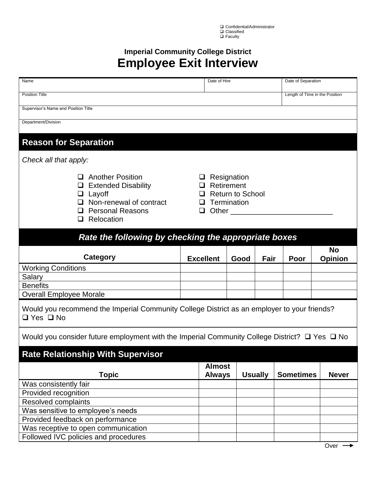□ Confidential/Administrator **□** Classified **Q** Faculty

## **Imperial Community College District Employee Exit Interview**

| Name                                                                                                                                | Date of Hire                                                                            |      | Date of Separation |                                |                             |  |  |
|-------------------------------------------------------------------------------------------------------------------------------------|-----------------------------------------------------------------------------------------|------|--------------------|--------------------------------|-----------------------------|--|--|
| <b>Position Title</b>                                                                                                               |                                                                                         |      |                    | Length of Time in the Position |                             |  |  |
| Supervisor's Name and Position Title                                                                                                |                                                                                         |      |                    |                                |                             |  |  |
| Department/Division                                                                                                                 |                                                                                         |      |                    |                                |                             |  |  |
|                                                                                                                                     |                                                                                         |      |                    |                                |                             |  |  |
| <b>Reason for Separation</b>                                                                                                        |                                                                                         |      |                    |                                |                             |  |  |
| Check all that apply:                                                                                                               |                                                                                         |      |                    |                                |                             |  |  |
| <b>Another Position</b><br><b>Extended Disability</b><br>Layoff<br>Non-renewal of contract<br><b>Personal Reasons</b><br>Relocation | Resignation<br>Retirement<br><b>Return to School</b><br>Termination<br>ப<br>Other<br>Q. |      |                    |                                |                             |  |  |
| Rate the following by checking the appropriate boxes                                                                                |                                                                                         |      |                    |                                |                             |  |  |
| Category                                                                                                                            | <b>Excellent</b>                                                                        | Good | Fair               | Poor                           | <b>No</b><br><b>Opinion</b> |  |  |
| <b>Working Conditions</b>                                                                                                           |                                                                                         |      |                    |                                |                             |  |  |
| Salary                                                                                                                              |                                                                                         |      |                    |                                |                             |  |  |
| <b>Benefits</b>                                                                                                                     |                                                                                         |      |                    |                                |                             |  |  |
| <b>Overall Employee Morale</b>                                                                                                      |                                                                                         |      |                    |                                |                             |  |  |
| Would you recommend the Imperial Community College District as an employer to your friends?<br>$\Box$ Yes $\Box$ No                 |                                                                                         |      |                    |                                |                             |  |  |
| Would you consider future employment with the Imperial Community College District? $\Box$ Yes $\Box$ No                             |                                                                                         |      |                    |                                |                             |  |  |
| <b>Rate Relationship With Supervisor</b>                                                                                            |                                                                                         |      |                    |                                |                             |  |  |
| <b>Topic</b>                                                                                                                        | <b>Almost</b><br><b>Always</b>                                                          |      | <b>Usually</b>     | <b>Sometimes</b>               | <b>Never</b>                |  |  |
| Was consistently fair                                                                                                               |                                                                                         |      |                    |                                |                             |  |  |
| Provided recognition                                                                                                                |                                                                                         |      |                    |                                |                             |  |  |
| Resolved complaints                                                                                                                 |                                                                                         |      |                    |                                |                             |  |  |
| Was sensitive to employee's needs                                                                                                   |                                                                                         |      |                    |                                |                             |  |  |
| Provided feedback on performance                                                                                                    |                                                                                         |      |                    |                                |                             |  |  |
| Was receptive to open communication                                                                                                 |                                                                                         |      |                    |                                |                             |  |  |
| Followed IVC policies and procedures                                                                                                |                                                                                         |      |                    |                                |                             |  |  |